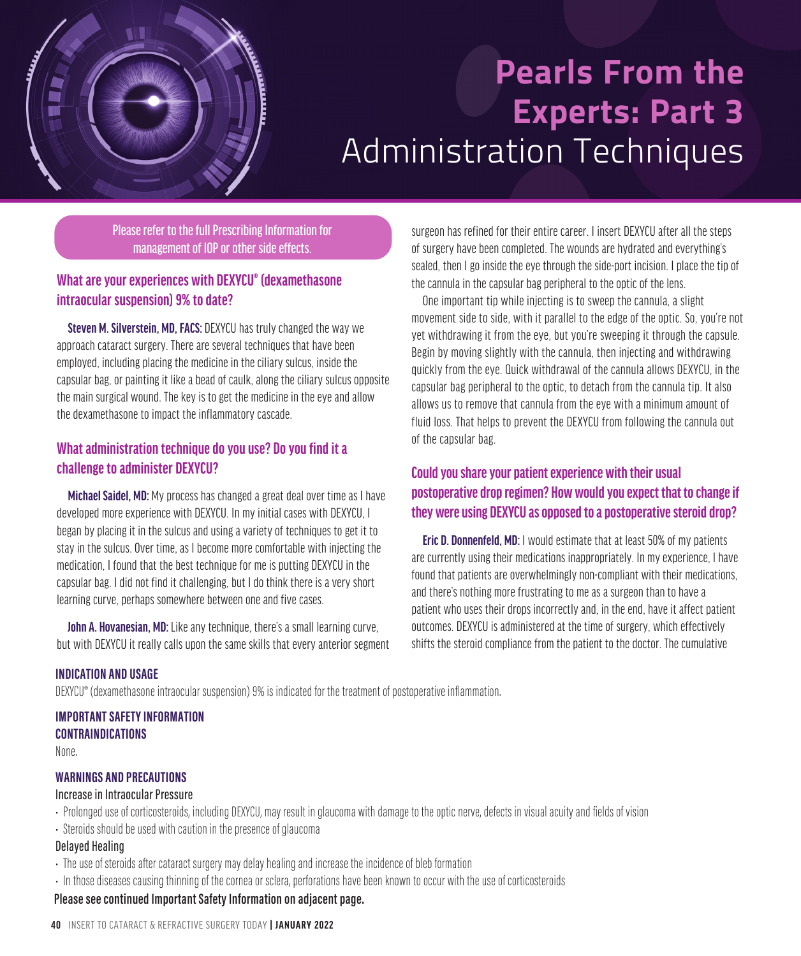

# **Pearls From the Experts: Part 3**  Administration Techniques

Please refer to the full Prescribing Information for management of IOP or other side effects.

# **What are your experiences with DEXYCU® (dexamethasone intraocular suspension) 9% to date?**

**Steven M. Silverstein, MD, FACS: DEXYCU has truly changed the way we** approach cataract surgery. There are several techniques that have been employed, including placing the medicine in the ciliary sulcus, inside the capsular bag, or painting it like a bead of caulk, along the ciliary sulcus opposite the main surgical wound. The key is to get the medicine in the eye and allow the dexamethasone to impact the inflammatory cascade.

# **What administration technique do you use? Do you find it a challenge to administer DEXYCU?**

**Michael Saidel, MD:** My process has changed a great deal over time as I have developed more experience with DEXYCU. In my initial cases with DEXYCU, I began by placing it in the sulcus and using a variety of techniques to get it to stay in the sulcus. Over time, as I become more comfortable with injecting the medication, I found that the best technique for me is putting DEXYCU in the capsular bag. I did not find it challenging, but I do think there is a very short learning curve, perhaps somewhere between one and five cases.

**John A. Hovanesian, MD:** Like any technique, there's a small learning curve, but with DEXYCU it really calls upon the same skills that every anterior segment surgeon has refined for their entire career. I insert DEXYCU after all the steps of surgery have been completed. The wounds are hydrated and everything's sealed, then I go inside the eye through the side-port incision. I place the tip of the cannula in the capsular bag peripheral to the optic of the lens.

One important tip while injecting is to sweep the cannula, a slight movement side to side, with it parallel to the edge of the optic. So, you're not yet withdrawing it from the eye, but you're sweeping it through the capsule. Begin by moving slightly with the cannula, then injecting and withdrawing quickly from the eye. Quick withdrawal of the cannula allows DEXYCU, in the capsular bag peripheral to the optic, to detach from the cannula tip. It also allows us to remove that cannula from the eye with a minimum amount of fluid loss. That helps to prevent the DEXYCU from following the cannula out of the capsular bag.

# **Could you share your patient experience with their usual postoperative drop regimen? How would you expect that to change if they were using DEXYCU as opposed to a postoperative steroid drop?**

**Eric D. Donnenfeld, MD:** I would estimate that at least 50% of my patients are currently using their medications inappropriately. In my experience, I have found that patients are overwhelmingly non-compliant with their medications, and there's nothing more frustrating to me as a surgeon than to have a patient who uses their drops incorrectly and, in the end, have it affect patient outcomes. DEXYCU is administered at the time of surgery, which effectively shifts the steroid compliance from the patient to the doctor. The cumulative

## **INDICATION AND USAGE**

DEXYCU® (dexamethasone intraocular suspension) 9% is indicated for the treatment of postoperative inflammation.

## **IMPORTANT SAFETY INFORMATION**

**CONTRAINDICATIONS** None.

## **WARNINGS AND PRECAUTIONS**

#### Increase in Intraocular Pressure

- Prolonged use of corticosteroids, including DEXYCU, may result in glaucoma with damage to the optic nerve, defects in visual acuity and fields of vision
- Steroids should be used with caution in the presence of glaucoma

## Delayed Healing

- The use of steroids after cataract surgery may delay healing and increase the incidence of bleb formation
- In those diseases causing thinning of the cornea or sclera, perforations have been known to occur with the use of corticosteroids

# **Please see continued Important Safety Information on adjacent page.**